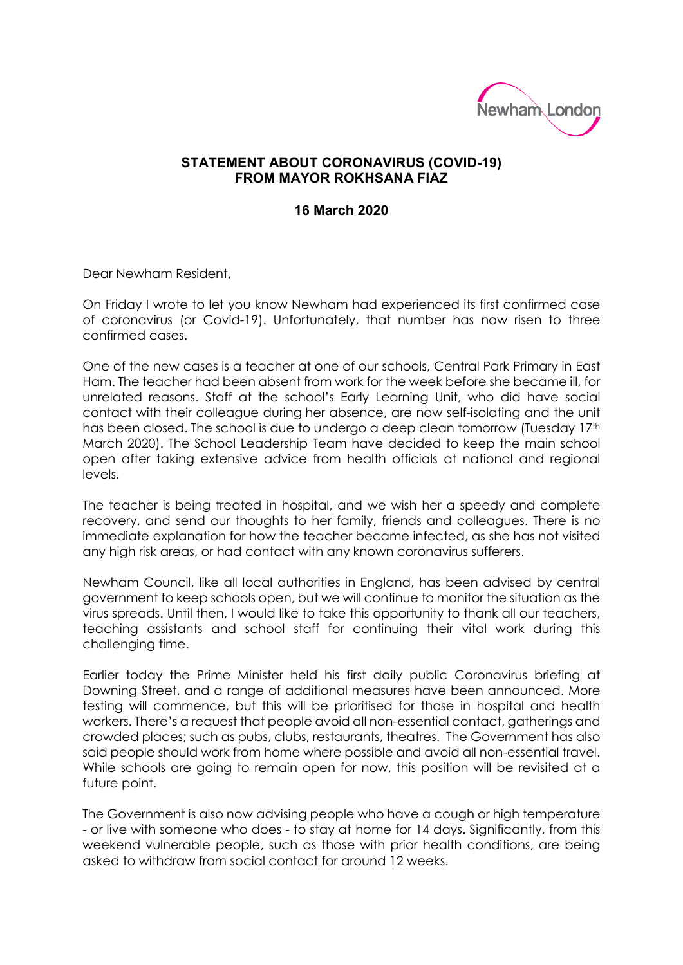

## **STATEMENT ABOUT CORONAVIRUS (COVID-19) FROM MAYOR ROKHSANA FIAZ**

## **16 March 2020**

Dear Newham Resident,

On Friday I wrote to let you know Newham had experienced its first confirmed case of coronavirus (or Covid-19). Unfortunately, that number has now risen to three confirmed cases.

One of the new cases is a teacher at one of our schools, Central Park Primary in East Ham. The teacher had been absent from work for the week before she became ill, for unrelated reasons. Staff at the school's Early Learning Unit, who did have social contact with their colleague during her absence, are now self-isolating and the unit has been closed. The school is due to undergo a deep clean tomorrow (Tuesday 17th March 2020). The School Leadership Team have decided to keep the main school open after taking extensive advice from health officials at national and regional levels.

The teacher is being treated in hospital, and we wish her a speedy and complete recovery, and send our thoughts to her family, friends and colleagues. There is no immediate explanation for how the teacher became infected, as she has not visited any high risk areas, or had contact with any known coronavirus sufferers.

Newham Council, like all local authorities in England, has been advised by central government to keep schools open, but we will continue to monitor the situation as the virus spreads. Until then, I would like to take this opportunity to thank all our teachers, teaching assistants and school staff for continuing their vital work during this challenging time.

Earlier today the Prime Minister held his first daily public Coronavirus briefing at Downing Street, and a range of additional measures have been announced. More testing will commence, but this will be prioritised for those in hospital and health workers. There's a request that people avoid all non-essential contact, gatherings and crowded places; such as pubs, clubs, restaurants, theatres. The Government has also said people should work from home where possible and avoid all non-essential travel. While schools are going to remain open for now, this position will be revisited at a future point.

The Government is also now advising people who have a cough or high temperature - or live with someone who does - to stay at home for 14 days. Significantly, from this weekend vulnerable people, such as those with prior health conditions, are being asked to withdraw from social contact for around 12 weeks.